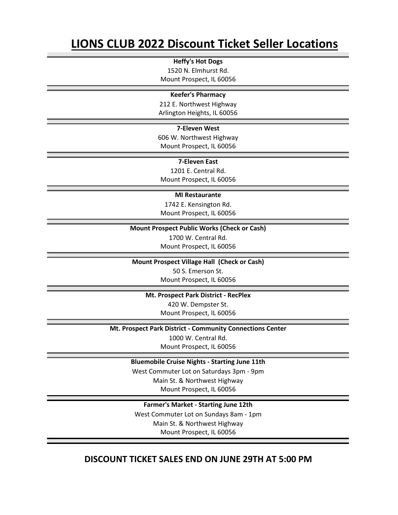# **LIONS CLUB 2022 Discount Ticket Seller Locations**

**Heffy's Hot Dogs** 1520 N. Elmhurst Rd.

Mount Prospect, IL 60056

#### **Keefer's Pharmacy**

212 E. Northwest Highway Arlington Heights, IL 60056

#### **7-Eleven West**

606 W. Northwest Highway Mount Prospect, IL 60056

#### **7-Eleven East**

1201 E. Central Rd. Mount Prospect, IL 60056

#### **MI Restaurante**

1742 E. Kensington Rd. Mount Prospect, IL 60056

#### **Mount Prospect Public Works (Check or Cash)**

1700 W. Central Rd. Mount Prospect, IL 60056

**Mount Prospect Village Hall (Check or Cash)**

50 S. Emerson St. Mount Prospect, IL 60056

**Mt. Prospect Park District - RecPlex** 420 W. Dempster St. Mount Prospect, IL 60056

**Mt. Prospect Park District - Community Connections Center**

1000 W. Central Rd. Mount Prospect, IL 60056

**Bluemobile Cruise Nights - Starting June 11th**

West Commuter Lot on Saturdays 3pm - 9pm Main St. & Northwest Highway Mount Prospect, IL 60056

**Farmer's Market - Starting June 12th** West Commuter Lot on Sundays 8am - 1pm Main St. & Northwest Highway Mount Prospect, IL 60056

### **DISCOUNT TICKET SALES END ON JUNE 29TH AT 5:00 PM**